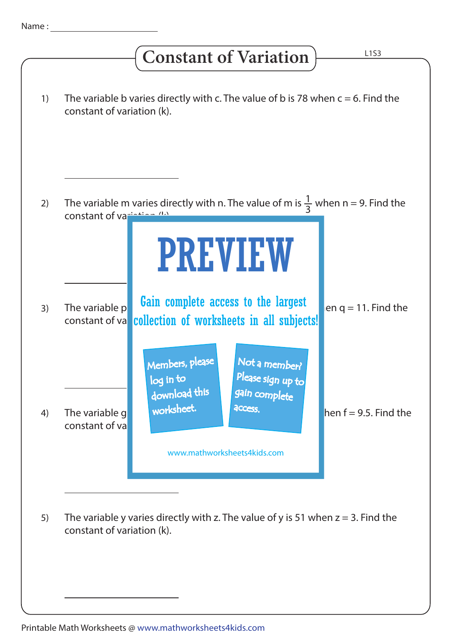## **Constant of Variation**

| 1) | The variable b varies directly with c. The value of b is 78 when $c = 6$ . Find the<br>constant of variation (k).                                                                                                            |  |
|----|------------------------------------------------------------------------------------------------------------------------------------------------------------------------------------------------------------------------------|--|
| 2) | The variable m varies directly with n. The value of m is $\frac{1}{3}$ when n = 9. Find the                                                                                                                                  |  |
|    | constant of variation (1)<br><b>PREVIEW</b>                                                                                                                                                                                  |  |
| 3) | Gain complete access to the largest<br>The variable p<br>en $q = 11$ . Find the<br>collection of worksheets in all subjects!<br>constant of va                                                                               |  |
| 4) | Members, please<br>Not a member?<br>Please sign up to<br>log in to<br>gain complete<br>download this<br>worksheet.<br>access.<br>hen $f = 9.5$ . Find the<br>The variable g<br>constant of va<br>www.mathworksheets4kids.com |  |
| 5) | The variable y varies directly with z. The value of y is 51 when $z = 3$ . Find the<br>constant of variation (k).                                                                                                            |  |